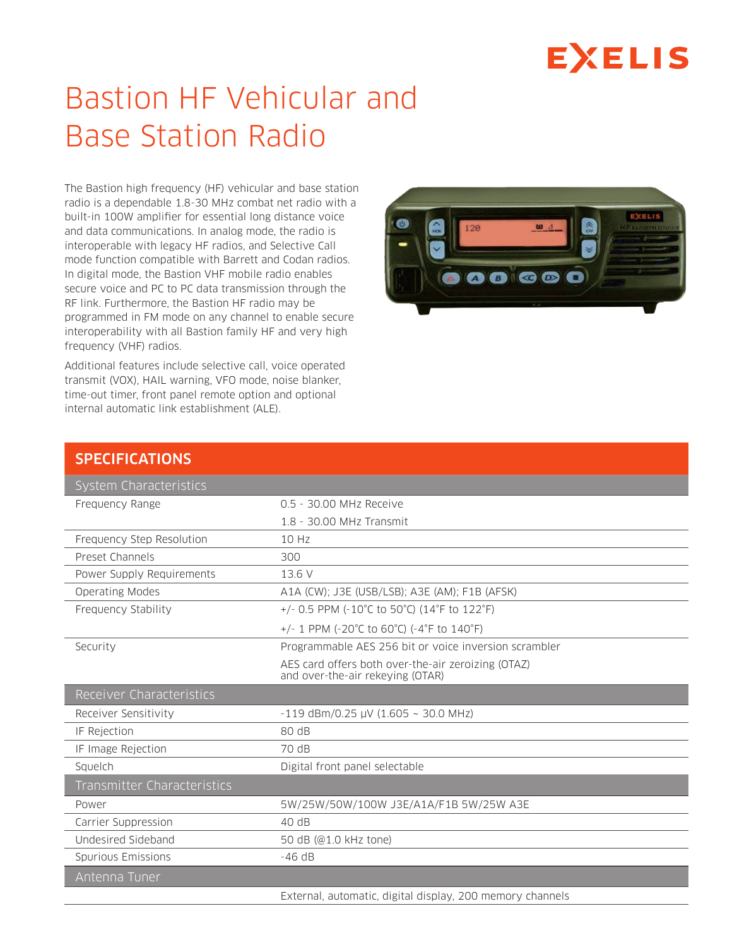## **EXELIS**

## Bastion HF Vehicular and Base Station Radio

The Bastion high frequency (HF) vehicular and base station radio is a dependable 1.8-30 MHz combat net radio with a built-in 100W amplifier for essential long distance voice and data communications. In analog mode, the radio is interoperable with legacy HF radios, and Selective Call mode function compatible with Barrett and Codan radios. In digital mode, the Bastion VHF mobile radio enables secure voice and PC to PC data transmission through the RF link. Furthermore, the Bastion HF radio may be programmed in FM mode on any channel to enable secure interoperability with all Bastion family HF and very high frequency (VHF) radios.

Additional features include selective call, voice operated transmit (VOX), HAIL warning, VFO mode, noise blanker, time-out timer, front panel remote option and optional internal automatic link establishment (ALE).



## **SPECIFICATIONS**

| <b>System Characteristics</b>      |                                                                                        |
|------------------------------------|----------------------------------------------------------------------------------------|
| Frequency Range                    | 0.5 - 30.00 MHz Receive                                                                |
|                                    | 1.8 - 30.00 MHz Transmit                                                               |
| Frequency Step Resolution          | 10 Hz                                                                                  |
| Preset Channels                    | 300                                                                                    |
| Power Supply Requirements          | 13.6 V                                                                                 |
| <b>Operating Modes</b>             | A1A (CW); J3E (USB/LSB); A3E (AM); F1B (AFSK)                                          |
| Frequency Stability                | +/- 0.5 PPM (-10°C to 50°C) (14°F to 122°F)                                            |
|                                    | +/- 1 PPM (-20°C to 60°C) (-4°F to 140°F)                                              |
| Security                           | Programmable AES 256 bit or voice inversion scrambler                                  |
|                                    | AES card offers both over-the-air zeroizing (OTAZ)<br>and over-the-air rekeying (OTAR) |
| Receiver Characteristics           |                                                                                        |
| Receiver Sensitivity               | $-119$ dBm/0.25 µV (1.605 ~ 30.0 MHz)                                                  |
| IF Rejection                       | 80dB                                                                                   |
| IF Image Rejection                 | 70 dB                                                                                  |
| Squelch                            | Digital front panel selectable                                                         |
| <b>Transmitter Characteristics</b> |                                                                                        |
| Power                              | 5W/25W/50W/100W J3E/A1A/F1B 5W/25W A3E                                                 |
| Carrier Suppression                | 40 dB                                                                                  |
| Undesired Sideband                 | 50 dB (@1.0 kHz tone)                                                                  |
| Spurious Emissions                 | $-46$ dB                                                                               |
| Antenna Tuner                      |                                                                                        |
|                                    | External, automatic, digital display, 200 memory channels                              |